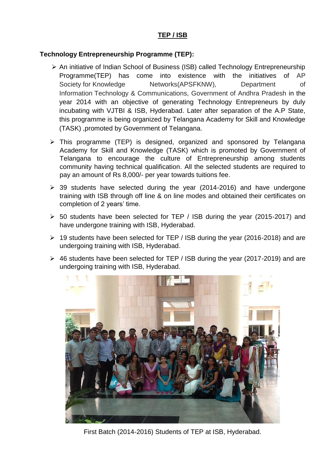## **TEP / ISB**

## **Technology Entrepreneurship Programme (TEP):**

- An initiative of Indian School of Business (ISB) called Technology Entrepreneurship Programme(TEP) has come into existence with the initiatives of AP Society for Knowledge Metworks(APSFKNW), Department of Information Technology & Communications, Government of Andhra Pradesh in the year 2014 with an objective of generating Technology Entrepreneurs by duly incubating with VJTBI & ISB, Hyderabad. Later after separation of the A.P State, this programme is being organized by Telangana Academy for Skill and Knowledge (TASK) ,promoted by Government of Telangana.
- $\triangleright$  This programme (TEP) is designed, organized and sponsored by Telangana Academy for Skill and Knowledge (TASK) which is promoted by Government of Telangana to encourage the culture of Entrepreneurship among students community having technical qualification. All the selected students are required to pay an amount of Rs 8,000/- per year towards tuitions fee.
- $\geq$  39 students have selected during the year (2014-2016) and have undergone training with ISB through off line & on line modes and obtained their certificates on completion of 2 years' time.
- 50 students have been selected for TEP / ISB during the year (2015-2017) and have undergone training with ISB, Hyderabad.
- 19 students have been selected for TEP / ISB during the year (2016-2018) and are undergoing training with ISB, Hyderabad.
- $\geq$  46 students have been selected for TEP / ISB during the year (2017-2019) and are undergoing training with ISB, Hyderabad.



First Batch (2014-2016) Students of TEP at ISB, Hyderabad.